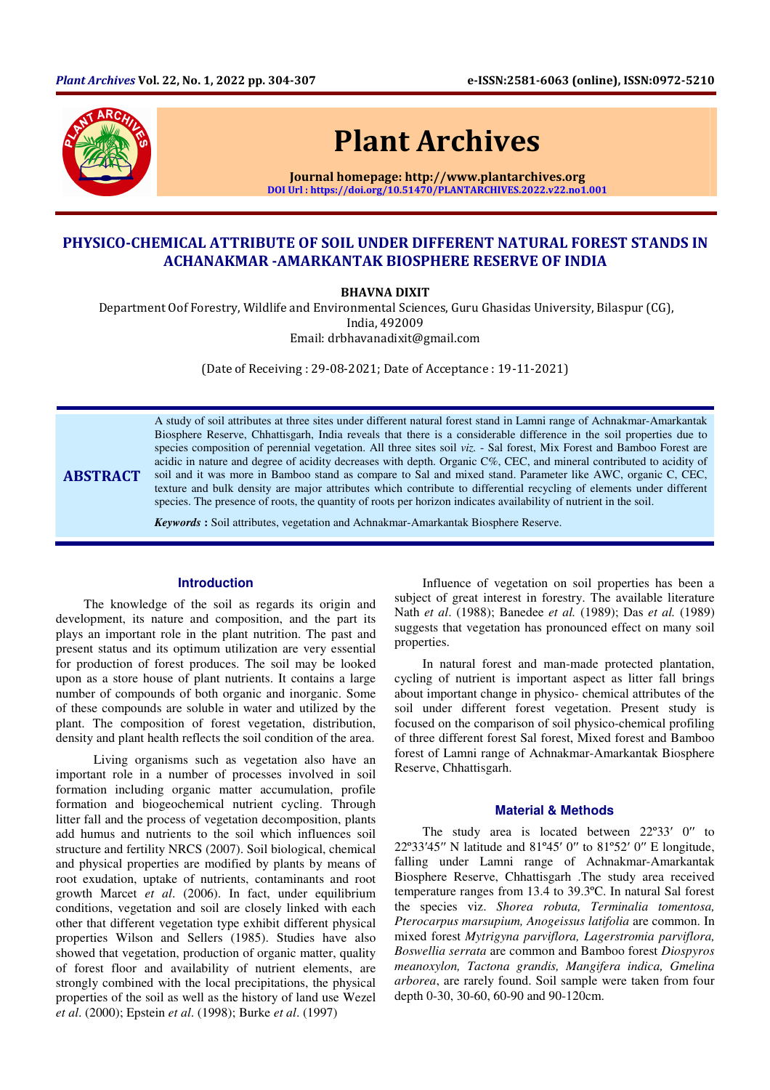

**ABSTRACT** 

# Plant Archives

Journal homepage: http://www.plantarchives.org DOI Url : https://doi.org/10.51470/PLANTARCHIVES.2022.v22.no1.001

# PHYSICO-CHEMICAL ATTRIBUTE OF SOIL UNDER DIFFERENT NATURAL FOREST STANDS IN ACHANAKMAR -AMARKANTAK BIOSPHERE RESERVE OF INDIA

BHAVNA DIXIT

 Department Oof Forestry, Wildlife and Environmental Sciences, Guru Ghasidas University, Bilaspur (CG), India, 492009 Email: drbhavanadixit@gmail.com

(Date of Receiving : 29-08-2021; Date of Acceptance : 19-11-2021)

A study of soil attributes at three sites under different natural forest stand in Lamni range of Achnakmar-Amarkantak Biosphere Reserve, Chhattisgarh, India reveals that there is a considerable difference in the soil properties due to species composition of perennial vegetation. All three sites soil *viz.* - Sal forest, Mix Forest and Bamboo Forest are acidic in nature and degree of acidity decreases with depth. Organic C%, CEC, and mineral contributed to acidity of soil and it was more in Bamboo stand as compare to Sal and mixed stand. Parameter like AWC, organic C, CEC, texture and bulk density are major attributes which contribute to differential recycling of elements under different species. The presence of roots, the quantity of roots per horizon indicates availability of nutrient in the soil.

*Keywords* **:** Soil attributes, vegetation and Achnakmar-Amarkantak Biosphere Reserve.

#### **Introduction**

The knowledge of the soil as regards its origin and development, its nature and composition, and the part its plays an important role in the plant nutrition. The past and present status and its optimum utilization are very essential for production of forest produces. The soil may be looked upon as a store house of plant nutrients. It contains a large number of compounds of both organic and inorganic. Some of these compounds are soluble in water and utilized by the plant. The composition of forest vegetation, distribution, density and plant health reflects the soil condition of the area.

 Living organisms such as vegetation also have an important role in a number of processes involved in soil formation including organic matter accumulation, profile formation and biogeochemical nutrient cycling. Through litter fall and the process of vegetation decomposition, plants add humus and nutrients to the soil which influences soil structure and fertility NRCS (2007). Soil biological, chemical and physical properties are modified by plants by means of root exudation, uptake of nutrients, contaminants and root growth Marcet *et al*. (2006). In fact, under equilibrium conditions, vegetation and soil are closely linked with each other that different vegetation type exhibit different physical properties Wilson and Sellers (1985). Studies have also showed that vegetation, production of organic matter, quality of forest floor and availability of nutrient elements, are strongly combined with the local precipitations, the physical properties of the soil as well as the history of land use Wezel *et al*. (2000); Epstein *et al*. (1998); Burke *et al*. (1997)

Influence of vegetation on soil properties has been a subject of great interest in forestry. The available literature Nath *et al*. (1988); Banedee *et al.* (1989); Das *et al.* (1989) suggests that vegetation has pronounced effect on many soil properties.

In natural forest and man-made protected plantation, cycling of nutrient is important aspect as litter fall brings about important change in physico- chemical attributes of the soil under different forest vegetation. Present study is focused on the comparison of soil physico-chemical profiling of three different forest Sal forest, Mixed forest and Bamboo forest of Lamni range of Achnakmar-Amarkantak Biosphere Reserve, Chhattisgarh.

#### **Material & Methods**

The study area is located between 22°33′ 0″ to 22º33′45′′ N latitude and 81º45′ 0′′ to 81º52′ 0′′ E longitude, falling under Lamni range of Achnakmar-Amarkantak Biosphere Reserve, Chhattisgarh .The study area received temperature ranges from 13.4 to 39.3ºC. In natural Sal forest the species viz. *Shorea robuta, Terminalia tomentosa, Pterocarpus marsupium, Anogeissus latifolia* are common. In mixed forest *Mytrigyna parviflora, Lagerstromia parviflora, Boswellia serrata* are common and Bamboo forest *Diospyros meanoxylon, Tactona grandis, Mangifera indica, Gmelina arborea*, are rarely found. Soil sample were taken from four depth 0-30, 30-60, 60-90 and 90-120cm.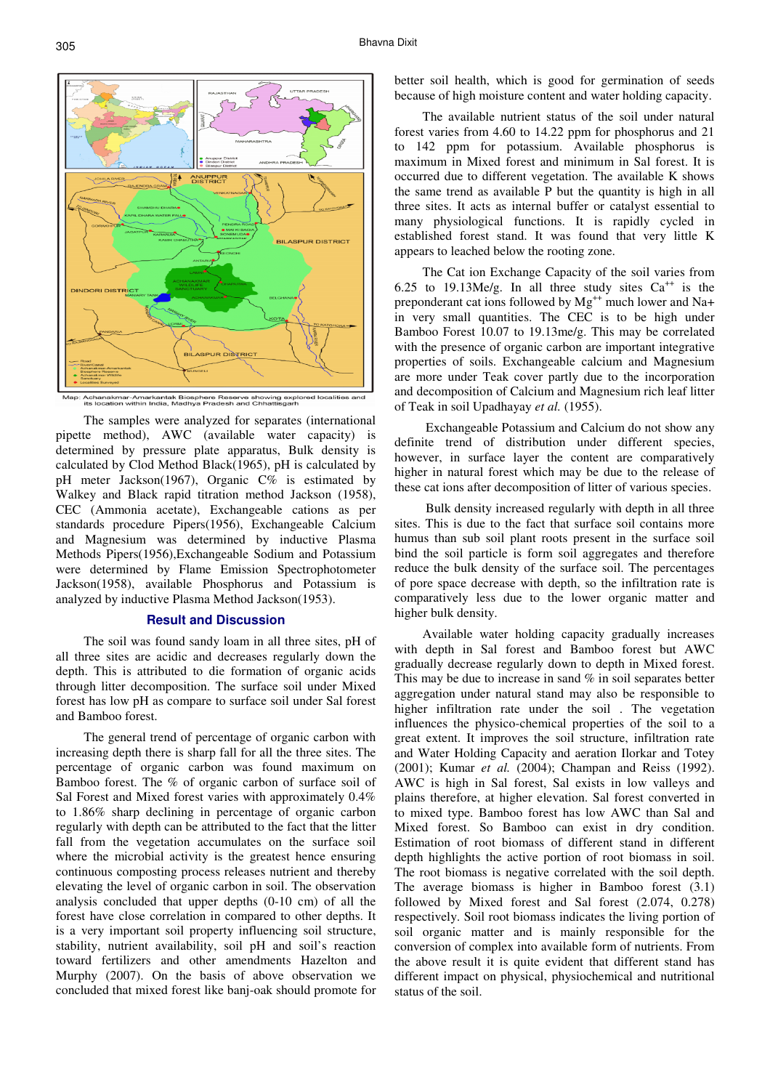

Map: Achanakmar-Amarkantak Biosphere Reserve showing explored localities and<br>its location within India. Madhya Pradesh and Chhattisgarh

The samples were analyzed for separates (international pipette method), AWC (available water capacity) is determined by pressure plate apparatus, Bulk density is calculated by Clod Method Black(1965), pH is calculated by pH meter Jackson(1967), Organic C% is estimated by Walkey and Black rapid titration method Jackson (1958), CEC (Ammonia acetate), Exchangeable cations as per standards procedure Pipers(1956), Exchangeable Calcium and Magnesium was determined by inductive Plasma Methods Pipers(1956),Exchangeable Sodium and Potassium were determined by Flame Emission Spectrophotometer Jackson(1958), available Phosphorus and Potassium is analyzed by inductive Plasma Method Jackson(1953).

#### **Result and Discussion**

The soil was found sandy loam in all three sites, pH of all three sites are acidic and decreases regularly down the depth. This is attributed to die formation of organic acids through litter decomposition. The surface soil under Mixed forest has low pH as compare to surface soil under Sal forest and Bamboo forest.

The general trend of percentage of organic carbon with increasing depth there is sharp fall for all the three sites. The percentage of organic carbon was found maximum on Bamboo forest. The % of organic carbon of surface soil of Sal Forest and Mixed forest varies with approximately 0.4% to 1.86% sharp declining in percentage of organic carbon regularly with depth can be attributed to the fact that the litter fall from the vegetation accumulates on the surface soil where the microbial activity is the greatest hence ensuring continuous composting process releases nutrient and thereby elevating the level of organic carbon in soil. The observation analysis concluded that upper depths (0-10 cm) of all the forest have close correlation in compared to other depths. It is a very important soil property influencing soil structure, stability, nutrient availability, soil pH and soil's reaction toward fertilizers and other amendments Hazelton and Murphy (2007). On the basis of above observation we concluded that mixed forest like banj-oak should promote for

better soil health, which is good for germination of seeds because of high moisture content and water holding capacity.

The available nutrient status of the soil under natural forest varies from 4.60 to 14.22 ppm for phosphorus and 21 to 142 ppm for potassium. Available phosphorus is maximum in Mixed forest and minimum in Sal forest. It is occurred due to different vegetation. The available K shows the same trend as available P but the quantity is high in all three sites. It acts as internal buffer or catalyst essential to many physiological functions. It is rapidly cycled in established forest stand. It was found that very little K appears to leached below the rooting zone.

The Cat ion Exchange Capacity of the soil varies from 6.25 to 19.13Me/g. In all three study sites  $Ca^{++}$  is the preponderant cat ions followed by Mg<sup>++</sup> much lower and Na+ in very small quantities. The CEC is to be high under Bamboo Forest 10.07 to 19.13me/g. This may be correlated with the presence of organic carbon are important integrative properties of soils. Exchangeable calcium and Magnesium are more under Teak cover partly due to the incorporation and decomposition of Calcium and Magnesium rich leaf litter of Teak in soil Upadhayay *et al.* (1955).

 Exchangeable Potassium and Calcium do not show any definite trend of distribution under different species, however, in surface layer the content are comparatively higher in natural forest which may be due to the release of these cat ions after decomposition of litter of various species.

 Bulk density increased regularly with depth in all three sites. This is due to the fact that surface soil contains more humus than sub soil plant roots present in the surface soil bind the soil particle is form soil aggregates and therefore reduce the bulk density of the surface soil. The percentages of pore space decrease with depth, so the infiltration rate is comparatively less due to the lower organic matter and higher bulk density.

Available water holding capacity gradually increases with depth in Sal forest and Bamboo forest but AWC gradually decrease regularly down to depth in Mixed forest. This may be due to increase in sand % in soil separates better aggregation under natural stand may also be responsible to higher infiltration rate under the soil . The vegetation influences the physico-chemical properties of the soil to a great extent. It improves the soil structure, infiltration rate and Water Holding Capacity and aeration Ilorkar and Totey (2001); Kumar *et al.* (2004); Champan and Reiss (1992). AWC is high in Sal forest, Sal exists in low valleys and plains therefore, at higher elevation. Sal forest converted in to mixed type. Bamboo forest has low AWC than Sal and Mixed forest. So Bamboo can exist in dry condition. Estimation of root biomass of different stand in different depth highlights the active portion of root biomass in soil. The root biomass is negative correlated with the soil depth. The average biomass is higher in Bamboo forest (3.1) followed by Mixed forest and Sal forest (2.074, 0.278) respectively. Soil root biomass indicates the living portion of soil organic matter and is mainly responsible for the conversion of complex into available form of nutrients. From the above result it is quite evident that different stand has different impact on physical, physiochemical and nutritional status of the soil.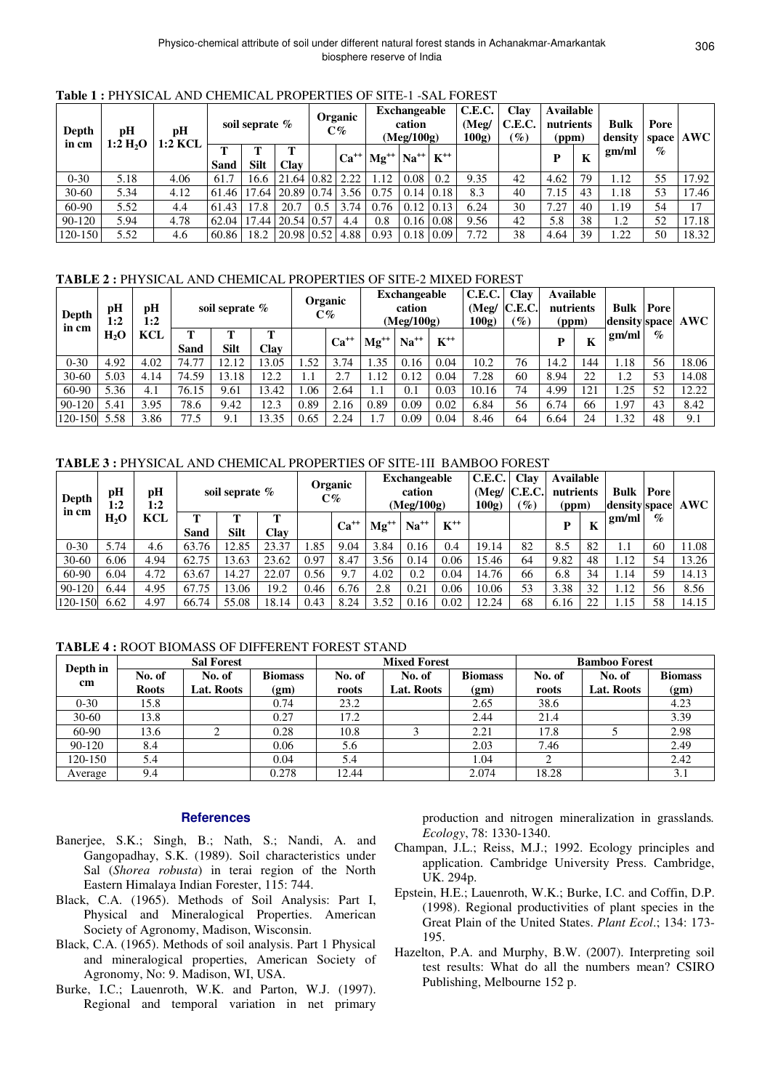| Depth<br>in cm | рH<br>1:2 H <sub>2</sub> O | рH<br><b>1:2 KCL</b> | soil seprate $\%$ |       |                      | Organic<br>$\bf C\%$ |                        | <b>Exchangeable</b><br>cation<br>(Meg/100g) |          | C.E.C.<br>(Meg/<br>100g) | <b>Clay</b><br>C.E.C.<br>$\mathscr{G}_o$ | Available<br>nutrients<br>(ppm) |      | <b>Bulk</b><br>density | Pore             | space   AWC |       |
|----------------|----------------------------|----------------------|-------------------|-------|----------------------|----------------------|------------------------|---------------------------------------------|----------|--------------------------|------------------------------------------|---------------------------------|------|------------------------|------------------|-------------|-------|
|                |                            |                      | Sand              | Silt  | m<br><b>Clay</b>     |                      | $Ca^{++}$<br>$Mg^{++}$ | $Na^{++}$                                   | $K^{++}$ |                          |                                          |                                 | K    | gm/ml                  | $\mathcal{O}'_0$ |             |       |
| $0 - 30$       | 5.18                       | 4.06                 | 61.7              | 16.6  | 21.64                | 0.82                 | 2.22                   | 1.12                                        | 0.08     | 0.2                      | 9.35                                     | 42                              | 4.62 | 79                     | 1.12             | 55          | 17.92 |
| $30 - 60$      | 5.34                       | 4.12                 | 61.46             |       | 17.64   20.89   0.74 |                      | 3.56                   | 0.75                                        | 0.14     | 0.18                     | 8.3                                      | 40                              | 7.15 | 43                     | 1.18             | 53          | 17.46 |
| 60-90          | 5.52                       | 4.4                  | 61.43             | 17.8  | 20.7                 | 0.5                  | 3.74                   | 0.76                                        | 0.12     | 0.13                     | 6.24                                     | 30                              | 7.27 | 40                     | 1.19             | 54          | 17    |
| 90-120         | 5.94                       | 4.78                 | 62.04             | 17.44 | $20.54 \mid 0.57$    |                      | 4.4                    | 0.8                                         | 0.16     | 0.08                     | 9.56                                     | 42                              | 5.8  | 38                     | 1.2              | 52          | 17.18 |
| 120-150        | 5.52                       | 4.6                  | 60.86             | 18.2  | 20.98   0.52         |                      | 4.88                   | 0.93                                        | 0.18     | 0.09                     | 7.72                                     | 38                              | 4.64 | 39                     | 1.22             | 50          | 18.32 |

## **Table 1 :** PHYSICAL AND CHEMICAL PROPERTIES OF SITE-1 -SAL FOREST

# **TABLE 2 :** PHYSICAL AND CHEMICAL PROPERTIES OF SITE-2 MIXED FOREST

| Depth    | pH<br>1:2 | pH<br>1:2  |           | soil seprate $\%$ |           | Organic<br>$C\%$ |           | <b>Exchangeable</b><br>cation<br>(Meg/100g) |           |          | C.E.C.<br>(Meg/<br>100g) | Clay<br>C.E.C.<br>$\mathscr{C}_0$ | Available<br>nutrients<br>(ppm) |     | Bulk<br>density space | Pore            | AWC   |
|----------|-----------|------------|-----------|-------------------|-----------|------------------|-----------|---------------------------------------------|-----------|----------|--------------------------|-----------------------------------|---------------------------------|-----|-----------------------|-----------------|-------|
| in cm    | $H_2O$    | <b>KCL</b> | т<br>Sand | <b>Silt</b>       | Т<br>Clay |                  | $Ca^{++}$ | $Mg^{++}$                                   | $Na^{++}$ | $K^{++}$ |                          |                                   | D                               | ĸ   | gm/ml                 | $\mathcal{O}_0$ |       |
| $0 - 30$ | 4.92      | 4.02       | 74.77     | 12.12             | 13.05     | 1.52             | 3.74      | .35                                         | 0.16      | 0.04     | 10.2                     | 76                                | 14.2                            | 144 | 1.18                  | 56              | 18.06 |
| 30-60    | 5.03      | 4.14       | 74.59     | 13.18             | 12.2      | 1.1              | 2.7       | 1.12                                        | 0.12      | 0.04     | 7.28                     | 60                                | 8.94                            | 22  | 1.2                   | 53              | 14.08 |
| 60-90    | 5.36      | 4.1        | 76.15     | 9.61              | 13.42     | 1.06             | 2.64      | 1.1                                         | 0.1       | 0.03     | 10.16                    | 74                                | 4.99                            | 121 | 1.25                  | 52              | 12.22 |
| 90-120   | 5.41      | 3.95       | 78.6      | 9.42              | 12.3      | 0.89             | 2.16      | 0.89                                        | 0.09      | 0.02     | 6.84                     | 56                                | 6.74                            | 66  | 1.97                  | 43              | 8.42  |
| 120-150  | 5.58      | 3.86       | 77.5      | 9.1               | 13.35     | 0.65             | 2.24      | 1.7                                         | 0.09      | 0.04     | 8.46                     | 64                                | 6.64                            | 24  | 1.32                  | 48              | 9.1   |

## **TABLE 3 :** PHYSICAL AND CHEMICAL PROPERTIES OF SITE-1II BAMBOO FOREST

| Depth    | pH<br>1:2 | рH<br>1:2  |       | soil seprate $\%$ |           |      | Organic<br>$C\%$ |           | <b>Exchangeable</b><br>cation<br>(Meg/100g) |          | C.E.C.<br>(Meg / C.E.C.<br>100g) | Clay<br>$\mathscr{G}_o$ |      | Available<br>nutrients<br>(ppm) |       | <b>Bulk</b><br><b>Pore</b><br>AWC<br>density space |       |
|----------|-----------|------------|-------|-------------------|-----------|------|------------------|-----------|---------------------------------------------|----------|----------------------------------|-------------------------|------|---------------------------------|-------|----------------------------------------------------|-------|
| in cm    | $H_2O$    | <b>KCL</b> | Sand  | ௱<br>Silt         | m<br>Clav |      | $Ca^{++}$        | $Mg^{++}$ | $Na^{++}$                                   | $K^{++}$ |                                  |                         | D    |                                 | gm/ml | $\mathcal{O}_0$                                    |       |
| $0 - 30$ | 5.74      | 4.6        | 63.76 | 12.85             | 23.37     | .85  | 9.04             | 3.84      | 0.16                                        | 0.4      | 19.14                            | 82                      | 8.5  | 82                              | 1.1   | 60                                                 | 11.08 |
| 30-60    | 6.06      | 4.94       | 62.75 | 13.63             | 23.62     | 0.97 | 8.47             | 3.56      | 0.14                                        | 0.06     | 15.46                            | 64                      | 9.82 | 48                              | 1.12  | 54                                                 | 13.26 |
| 60-90    | 6.04      | 4.72       | 63.67 | 14.27             | 22.07     | 0.56 | 9.7              | 4.02      | 0.2                                         | 0.04     | 14.76                            | 66                      | 6.8  | 34                              | 1.14  | 59                                                 | 14.13 |
| 90-120   | 6.44      | 4.95       | 67.75 | .3.06             | 19.2      | 0.46 | 6.76             | 2.8       | 0.21                                        | 0.06     | 10.06                            | 53                      | 3.38 | 32                              | 1.12  | 56                                                 | 8.56  |
| 120-150  | 6.62      | 4.97       | 66.74 | 55.08             | 18.14     | 0.43 | 8.24             | 3.52      | 0.16                                        | 0.02     | 12.24                            | 68                      | 6.16 | 22                              | 1.15  | 58                                                 | 14.15 |

### **TABLE 4 :** ROOT BIOMASS OF DIFFERENT FOREST STAND

| Depth in<br>cm |              | <b>Sal Forest</b> |                |        | <b>Mixed Forest</b> |                | <b>Bamboo Forest</b> |            |                |  |  |
|----------------|--------------|-------------------|----------------|--------|---------------------|----------------|----------------------|------------|----------------|--|--|
|                | No. of       | No. of            | <b>Biomass</b> | No. of | No. of              | <b>Biomass</b> | No. of               | No. of     | <b>Biomass</b> |  |  |
|                | <b>Roots</b> | Lat. Roots        | (gm)           | roots  | Lat. Roots          | (gm)           | roots                | Lat. Roots | (gm)           |  |  |
| $0 - 30$       | 15.8         |                   | 0.74           | 23.2   |                     | 2.65           | 38.6                 |            | 4.23           |  |  |
| $30-60$        | 13.8         |                   | 0.27           | 17.2   |                     | 2.44           | 21.4                 |            | 3.39           |  |  |
| 60-90          | 13.6         |                   | 0.28           | 10.8   |                     | 2.21           | 17.8                 |            | 2.98           |  |  |
| 90-120         | 8.4          |                   | 0.06           | 5.6    |                     | 2.03           | 7.46                 |            | 2.49           |  |  |
| 120-150        | 5.4          |                   | 0.04           | 5.4    |                     | 1.04           | 2                    |            | 2.42           |  |  |
| Average        | 9.4          |                   | 0.278          | 12.44  |                     | 2.074          | 18.28                |            | 3.1            |  |  |

### **References**

- Banerjee, S.K.; Singh, B.; Nath, S.; Nandi, A. and Gangopadhay, S.K. (1989). Soil characteristics under Sal (*Shorea robusta*) in terai region of the North Eastern Himalaya Indian Forester, 115: 744.
- Black, C.A. (1965). Methods of Soil Analysis: Part I, Physical and Mineralogical Properties. American Society of Agronomy, Madison, Wisconsin.
- Black, C.A. (1965). Methods of soil analysis. Part 1 Physical and mineralogical properties, American Society of Agronomy, No: 9. Madison, WI, USA.
- Burke, I.C.; Lauenroth, W.K. and Parton, W.J. (1997). Regional and temporal variation in net primary

production and nitrogen mineralization in grasslands*. Ecology*, 78: 1330-1340.

- Champan, J.L.; Reiss, M.J.; 1992. Ecology principles and application. Cambridge University Press. Cambridge, UK. 294p.
- Epstein, H.E.; Lauenroth, W.K.; Burke, I.C. and Coffin, D.P. (1998). Regional productivities of plant species in the Great Plain of the United States. *Plant Ecol*.; 134: 173- 195.
- Hazelton, P.A. and Murphy, B.W. (2007). Interpreting soil test results: What do all the numbers mean? CSIRO Publishing, Melbourne 152 p.